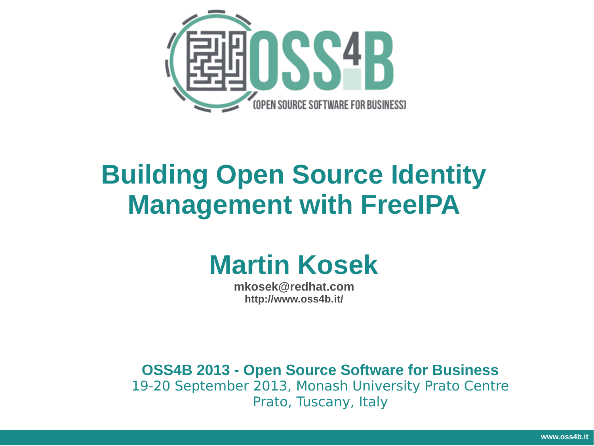

# **Building Open Source Identity Management with FreeIPA**

# **Martin Kosek**

**mkosek@redhat.com http://www.oss4b.it/**

**OSS4B 2013 - Open Source Software for Business** 19-20 September 2013, Monash University Prato Centre Prato, Tuscany, Italy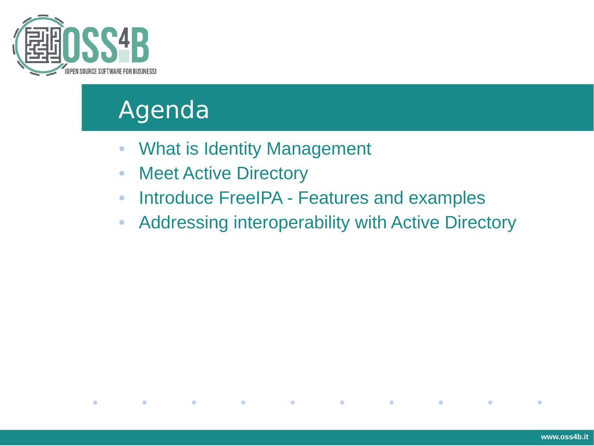

 $\bullet$ 

#### Agenda

- What is Identity Management
- Meet Active Directory

 $\bullet$ 

 $\bullet$ 

 $\bullet$ 

 $\bullet$ 

 $\bullet$ 

 $\bullet$ 

- Introduce FreeIPA Features and examples
- Addressing interoperability with Active Directory

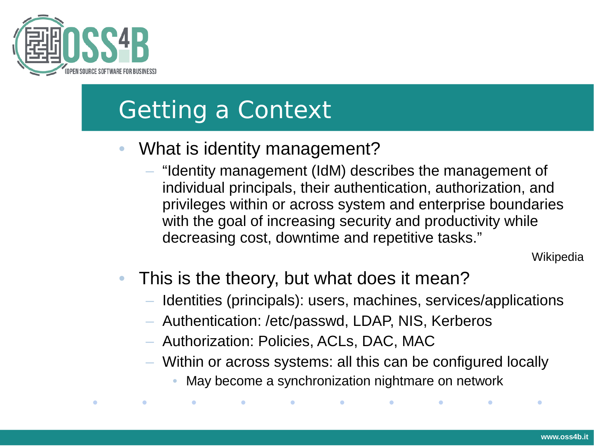

# Getting a Context

- What is identity management?
	- "Identity management (IdM) describes the management of individual principals, their authentication, authorization, and privileges within or across system and enterprise boundaries with the goal of increasing security and productivity while decreasing cost, downtime and repetitive tasks."

**Wikipedia** 

- This is the theory, but what does it mean?
	- Identities (principals): users, machines, services/applications
	- Authentication: /etc/passwd, LDAP, NIS, Kerberos
	- Authorization: Policies, ACLs, DAC, MAC
	- Within or across systems: all this can be configured locally
		- May become a synchronization nightmare on network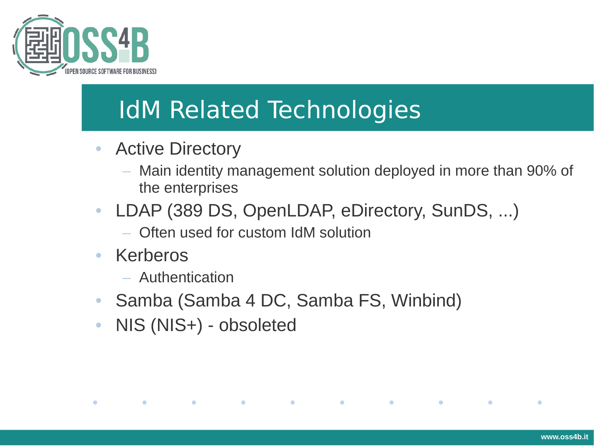

# IdM Related Technologies

- Active Directory
	- Main identity management solution deployed in more than 90% of the enterprises
- LDAP (389 DS, OpenLDAP, eDirectory, SunDS, ...)
	- Often used for custom IdM solution

**Contract Contract Contract** 

• Kerberos

 $\bullet$ 

 $\bullet$ 

- Authentication
- Samba (Samba 4 DC, Samba FS, Winbind)

**Contract Contract Contract** 

**Contract Contract Contract** 

**Service** 

 $\bullet$ 

• NIS (NIS+) - obsoleted

**Contract Contract Contract**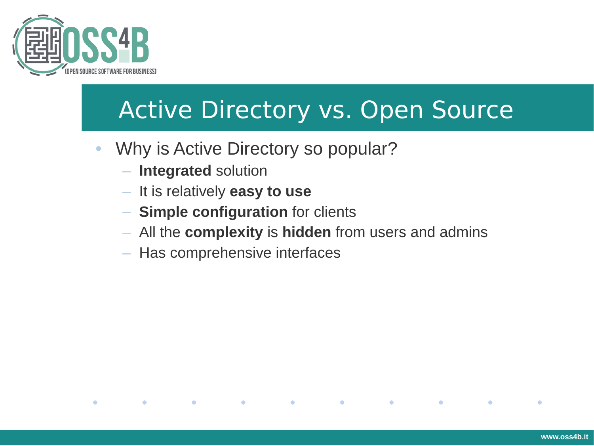

# Active Directory vs. Open Source

- Why is Active Directory so popular?
	- **Integrated** solution

 $\bullet$ 

 $\bullet$ 

 $\bullet$ 

- It is relatively **easy to use**
- **Simple configuration** for clients
- All the **complexity** is **hidden** from users and admins

 $\bullet$ 

 $\bullet$ 

 $\bullet$ 

 $\bullet$ 

– Has comprehensive interfaces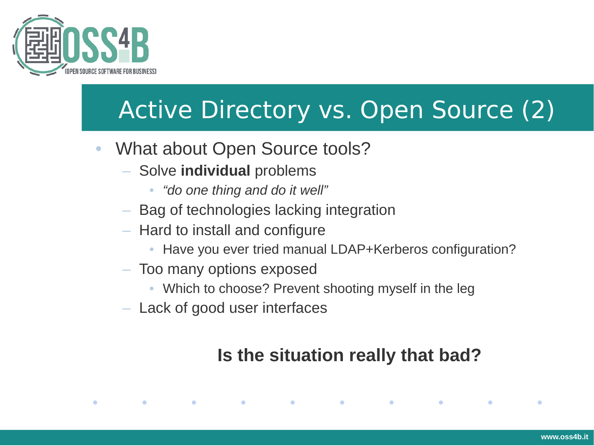

# Active Directory vs. Open Source (2)

- What about Open Source tools?
	- Solve **individual** problems
		- *"do one thing and do it well"*
	- Bag of technologies lacking integration
	- Hard to install and configure
		- Have you ever tried manual LDAP+Kerberos configuration?
	- Too many options exposed
		- Which to choose? Prevent shooting myself in the leg

 $\bullet$ 

– Lack of good user interfaces

 $\bullet$ 

 $\bullet$ 

 $\bullet$ 

 $\bullet$ 

#### **Is the situation really that bad?**

 $\bullet$ 

 $\bullet$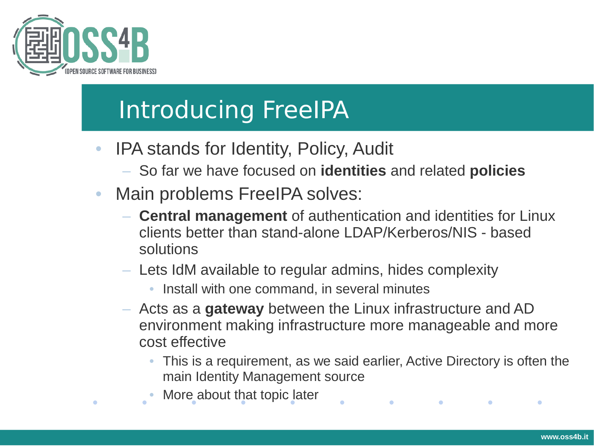

# Introducing FreeIPA

- IPA stands for Identity, Policy, Audit
	- So far we have focused on **identities** and related **policies**
- Main problems FreeIPA solves:
	- **Central management** of authentication and identities for Linux clients better than stand-alone LDAP/Kerberos/NIS - based solutions
	- Lets IdM available to regular admins, hides complexity
		- Install with one command, in several minutes
	- Acts as a **gateway** between the Linux infrastructure and AD environment making infrastructure more manageable and more cost effective
		- This is a requirement, as we said earlier, Active Directory is often the main Identity Management source

 $\bullet$  . The set of  $\bullet$ 

 $\bullet$ 

More about that topic later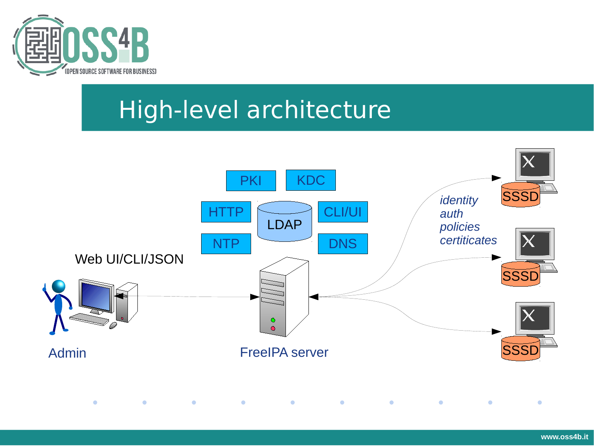

### High-level architecture

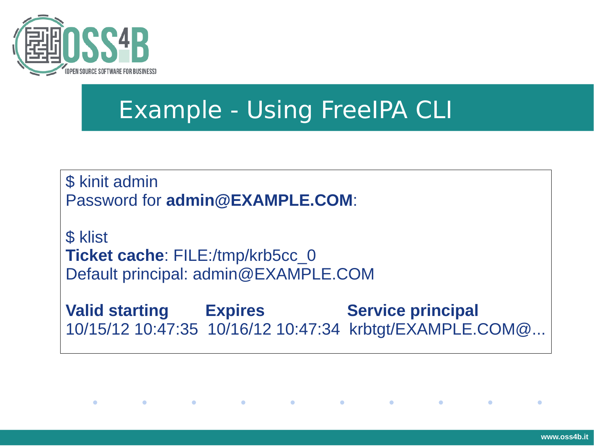

# Example - Using FreeIPA CLI

\$ kinit admin Password for **admin@EXAMPLE.COM**:

**\$** klist **Ticket cache**: FILE:/tmp/krb5cc\_0 Default principal: admin@EXAMPLE.COM

**Contract Contract Contract** 

**Contract Contract Contract** 

 $\bullet$ 

 $\bullet$ 

**Valid starting Expires Service principal** 10/15/12 10:47:35 10/16/12 10:47:34 krbtgt/EXAMPLE.COM@...

**Contract Contract Contract** 

**Contract Contract Contract** 

**Contract Contract Contract**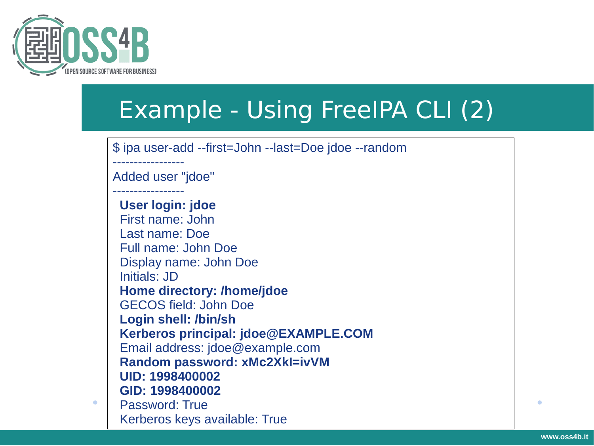

# Example - Using FreeIPA CLI (2)

\$ ipa user-add --first=John --last=Doe jdoe --random

----------------- Added user "jdoe"

-----------------

 **User login: jdoe** First name: John Last name: Doe Full name: John Doe Display name: John Doe Initials: JD  **Home directory: /home/jdoe** GECOS field: John Doe  **Login shell: /bin/sh Kerberos principal: jdoe@EXAMPLE.COM** Email address: jdoe@example.com  **Random password: xMc2XkI=ivVM UID: 1998400002 GID: 1998400002** Password: True Kerberos keys available: True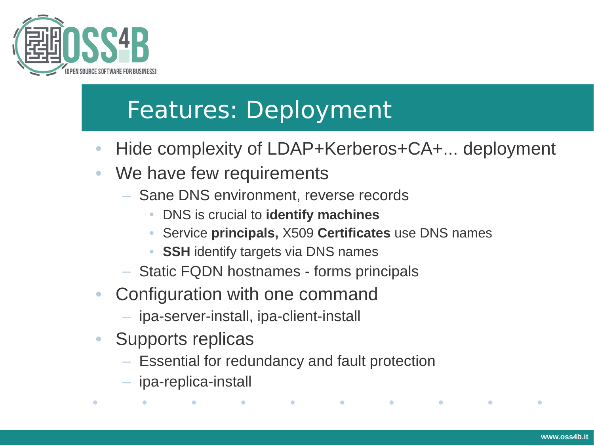

# Features: Deployment

- Hide complexity of LDAP+Kerberos+CA+... deployment
- We have few requirements
	- Sane DNS environment, reverse records
		- DNS is crucial to **identify machines**
		- Service **principals,** X509 **Certificates** use DNS names
		- **SSH** identify targets via DNS names
	- Static FQDN hostnames forms principals
- Configuration with one command
	- ipa-server-install, ipa-client-install

 $\bullet$ 

- Supports replicas
	- Essential for redundancy and fault protection

 $\bullet$ 

 $\bullet$ 

 $\bullet$ 

 $\bullet$ 

– ipa-replica-install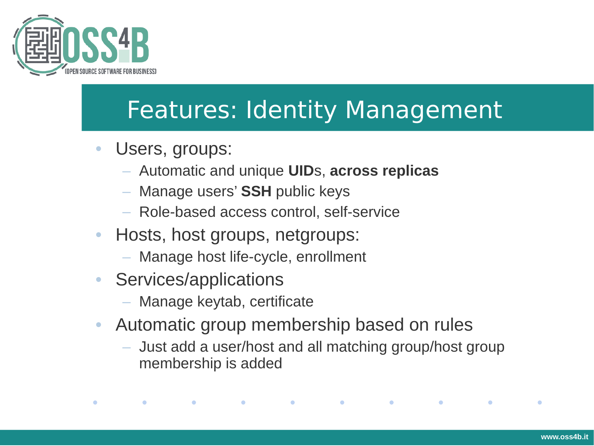

## Features: Identity Management

- Users, groups:
	- Automatic and unique **UID**s, **across replicas**
	- Manage users' **SSH** public keys
	- Role-based access control, self-service
- Hosts, host groups, netgroups:
	- Manage host life-cycle, enrollment

 $\bullet$ 

• Services/applications

 $\bullet$ 

 $\bullet$ 

 $\bullet$ 

- Manage keytab, certificate
- Automatic group membership based on rules

 $\bullet$ 

– Just add a user/host and all matching group/host group membership is added

 $\bullet$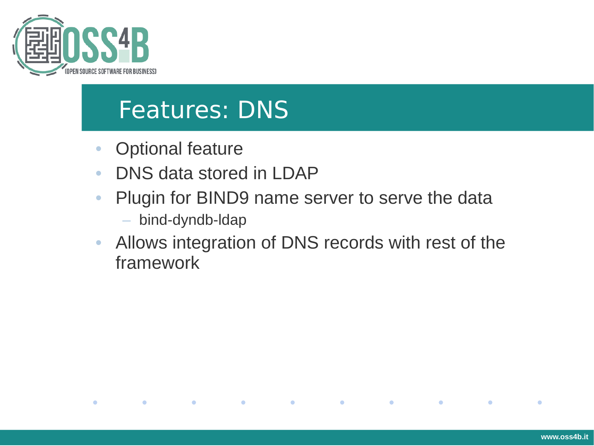

#### Features: DNS

• Optional feature

 $\bullet$ 

 $\bullet$ 

- DNS data stored in LDAP
- Plugin for BIND9 name server to serve the data
	- bind-dyndb-ldap

 $\bullet$ 

 $\bullet$ 

• Allows integration of DNS records with rest of the framework

 $\bullet$ 

 $\bullet$ 

 $\bullet$ 

 $\bullet$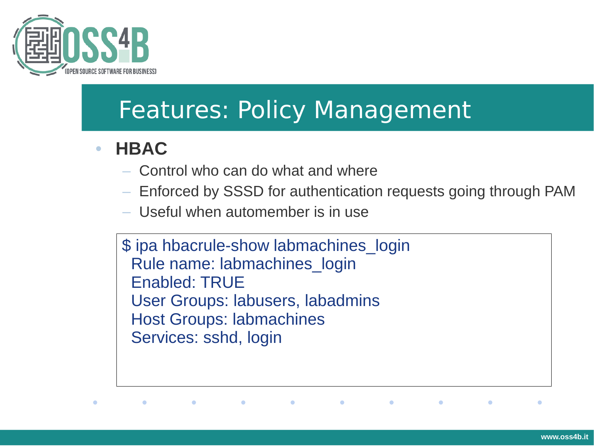

#### Features: Policy Management

#### • **HBAC**

- Control who can do what and where
- Enforced by SSSD for authentication requests going through PAM

 $\bullet$ 

 $\bullet$ 

 $\bullet$ 

– Useful when automember is in use

 $\bullet$ 

 $\bullet$ 

\$ ipa hbacrule-show labmachines login Rule name: labmachines\_login Enabled: TRUE User Groups: labusers, labadmins Host Groups: labmachines Services: sshd, login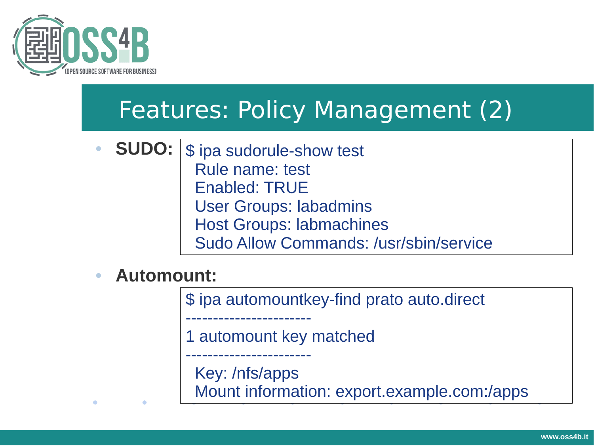

## Features: Policy Management (2)

- **SUDO:** \$ ipa sudorule-show test Rule name: test Enabled: TRUE User Groups: labadmins Host Groups: labmachines Sudo Allow Commands: /usr/sbin/service
- **Automount:**

\$ ipa automountkey-find prato auto.direct

1 automount key matched

Key: /nfs/apps

-----------------------

-----------------------

Mount information: export.example.com:/apps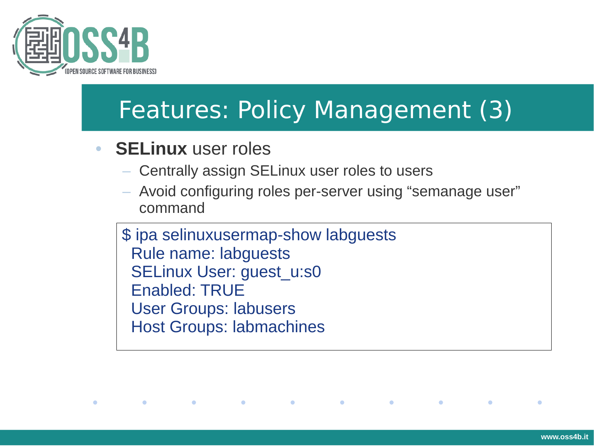

 $\bullet$ 

## Features: Policy Management (3)

• **SELinux** user roles

 $\bullet$ 

- Centrally assign SELinux user roles to users
- Avoid configuring roles per-server using "semanage user" command

\$ ipa selinuxusermap-show labguests Rule name: labguests SELinux User: guest\_u:s0 Enabled: TRUE User Groups: labusers Host Groups: labmachines

 $\bullet$ 

 $\bullet$ 

 $\bullet$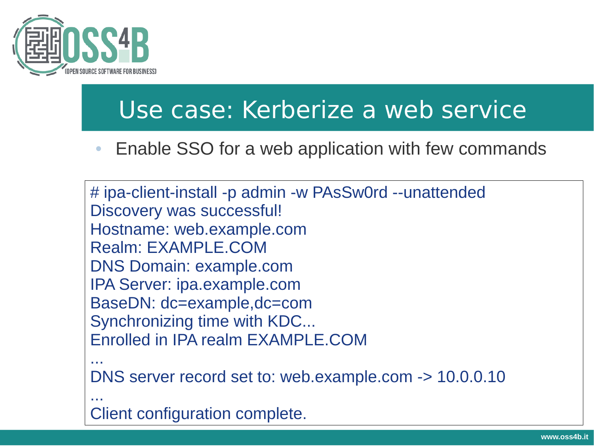

#### Use case: Kerberize a web service

• Enable SSO for a web application with few commands

# ipa-client-install -p admin -w PAsSw0rd --unattended Discovery was successful! Hostname: web.example.com Realm: EXAMPLE.COM DNS Domain: example.com IPA Server: ipa.example.com BaseDN: dc=example,dc=com Synchronizing time with KDC... Enrolled in IPA realm EXAMPLE.COM ... DNS server record set to: web.example.com -> 10.0.0.10

...

Client configuration complete.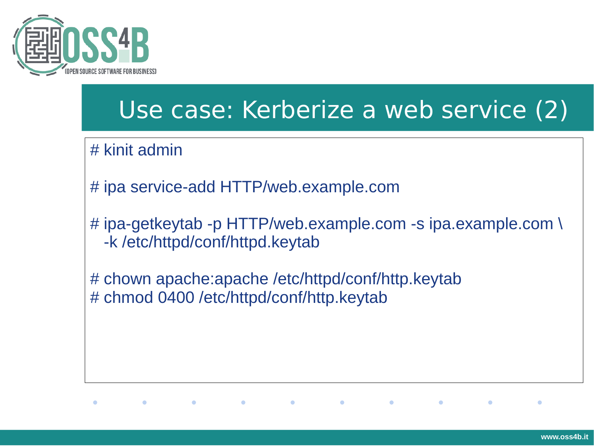

#### Use case: Kerberize a web service (2)

# kinit admin

# ipa service-add HTTP/web.example.com

 $\bullet$ 

# ipa-getkeytab -p HTTP/web.example.com -s ipa.example.com \ -k /etc/httpd/conf/httpd.keytab

# chown apache:apache /etc/httpd/conf/http.keytab # chmod 0400 /etc/httpd/conf/http.keytab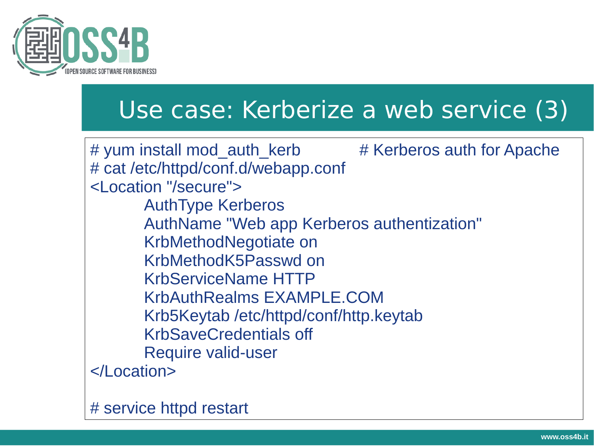

#### Use case: Kerberize a web service (3)

# yum install mod auth kerb # Kerberos auth for Apache # cat /etc/httpd/conf.d/webapp.conf <Location "/secure"> AuthType Kerberos AuthName "Web app Kerberos authentization" KrbMethodNegotiate on KrbMethodK5Passwd on KrbServiceName HTTP KrbAuthRealms EXAMPLE.COM Krb5Keytab /etc/httpd/conf/http.keytab KrbSaveCredentials off Require valid-user </Location>

# service httpd restart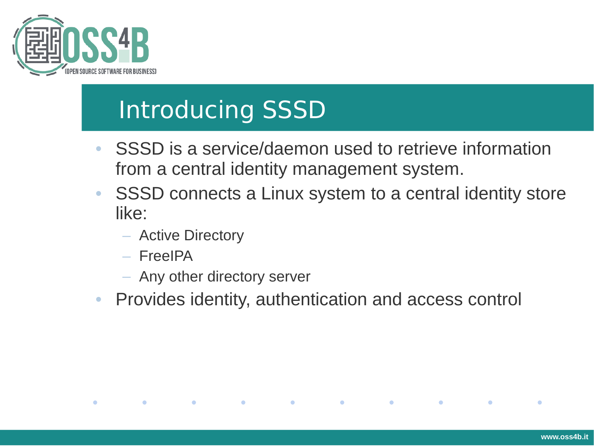

# Introducing SSSD

- SSSD is a service/daemon used to retrieve information from a central identity management system.
- SSSD connects a Linux system to a central identity store like:

 $\bullet$ 

 $\bullet$ 

 $\bullet$ 

– Active Directory

**Contract Contract Contract** 

 $\bullet$ 

– FreeIPA

 $\bullet$ 

 $\bullet$ 

- Any other directory server
- Provides identity, authentication and access control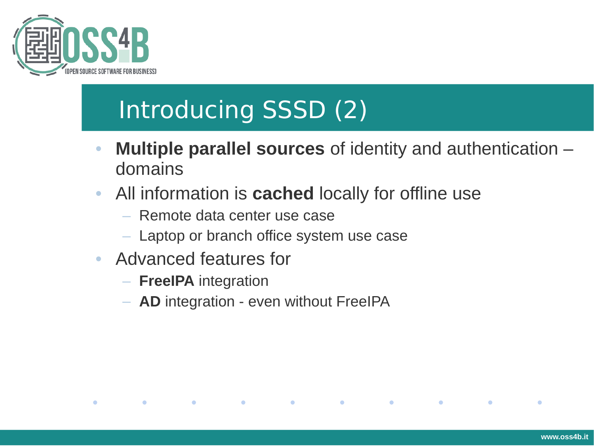

# Introducing SSSD (2)

- **Multiple parallel sources** of identity and authentication domains
- All information is **cached** locally for offline use

 $\bullet$ 

 $\bullet$ 

 $\bullet$ 

 $\bullet$ 

- Remote data center use case
- Laptop or branch office system use case
- Advanced features for
	- **FreeIPA** integration

 $\bullet$ 

 $\bullet$ 

 $\bullet$ 

– **AD** integration - even without FreeIPA

 $\bullet$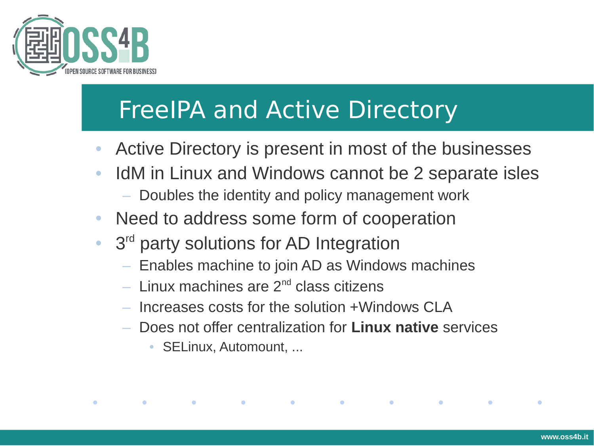

# FreeIPA and Active Directory

- Active Directory is present in most of the businesses
- IdM in Linux and Windows cannot be 2 separate isles
	- Doubles the identity and policy management work
- Need to address some form of cooperation
- 3<sup>rd</sup> party solutions for AD Integration
	- Enables machine to join AD as Windows machines
	- Linux machines are  $2^{nd}$  class citizens
	- Increases costs for the solution +Windows CLA

 $\bullet$ 

– Does not offer centralization for **Linux native** services

 $\bullet$ 

• SELinux, Automount, ...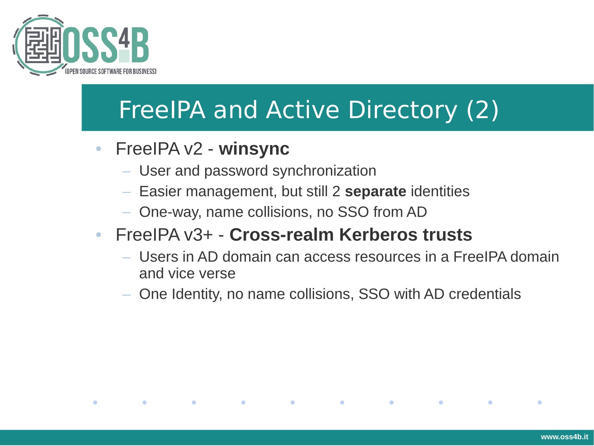

# FreeIPA and Active Directory (2)

• FreeIPA v2 - **winsync**

 $\bullet$ 

 $\bullet$ 

**Contract Contract** 

 $\bullet$ 

- User and password synchronization
- Easier management, but still 2 **separate** identities
- One-way, name collisions, no SSO from AD

#### • FreeIPA v3+ - **Cross-realm Kerberos trusts**

 $\bullet$ 

– Users in AD domain can access resources in a FreeIPA domain and vice verse

 $\bullet$ 

 $\bullet$ 

 $\bullet$ 

– One Identity, no name collisions, SSO with AD credentials

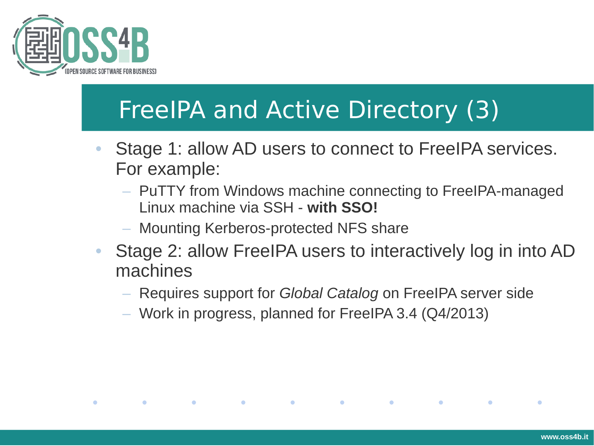

 $\bullet$ 

**Contract Contract Contract** 

**Contract Contract Contract** 

# FreeIPA and Active Directory (3)

- Stage 1: allow AD users to connect to FreeIPA services. For example:
	- PuTTY from Windows machine connecting to FreeIPA-managed Linux machine via SSH - **with SSO!**
	- Mounting Kerberos-protected NFS share
- Stage 2: allow FreeIPA users to interactively log in into AD machines

**Contract Contract Contract** 

**Contract Contract Contract** 

 $\bullet$ 

- Requires support for *Global Catalog* on FreeIPA server side
- Work in progress, planned for FreeIPA 3.4 (Q4/2013)

**Contract Contract Contract**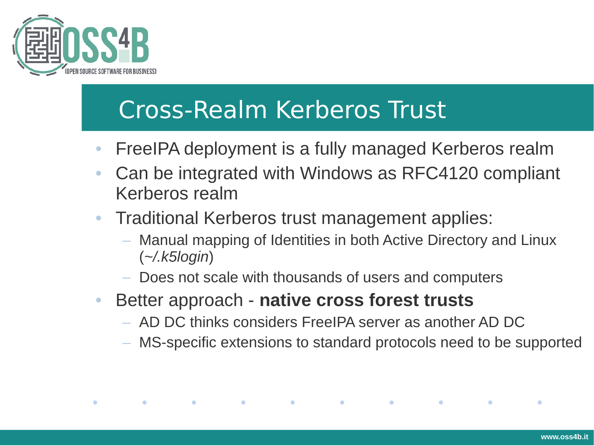

## Cross-Realm Kerberos Trust

- FreeIPA deployment is a fully managed Kerberos realm
- Can be integrated with Windows as RFC4120 compliant Kerberos realm
- Traditional Kerberos trust management applies:
	- Manual mapping of Identities in both Active Directory and Linux (*~/.k5login*)
	- Does not scale with thousands of users and computers
- Better approach **native cross forest trusts**

 $\bullet$ 

 $\bullet$ 

 $\bullet$ 

- AD DC thinks considers FreeIPA server as another AD DC
- MS-specific extensions to standard protocols need to be supported

 $\bullet$ 

 $\bullet$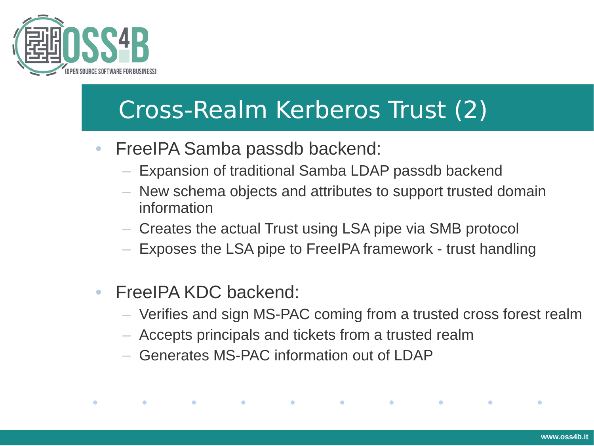

## Cross-Realm Kerberos Trust (2)

- FreeIPA Samba passdb backend:
	- Expansion of traditional Samba LDAP passdb backend
	- New schema objects and attributes to support trusted domain information
	- Creates the actual Trust using LSA pipe via SMB protocol
	- Exposes the LSA pipe to FreeIPA framework trust handling
- FreeIPA KDC backend:

**Contract Contract Contract** 

 $\bullet$ 

 $\bullet$ 

– Verifies and sign MS-PAC coming from a trusted cross forest realm

 $\bullet$  . The set of  $\bullet$ 

**Contract Contract Contract** 

 $\bullet$ 

– Accepts principals and tickets from a trusted realm

 $\bullet$  . The set of  $\bullet$ 

– Generates MS-PAC information out of LDAP

**Contract Contract Contract**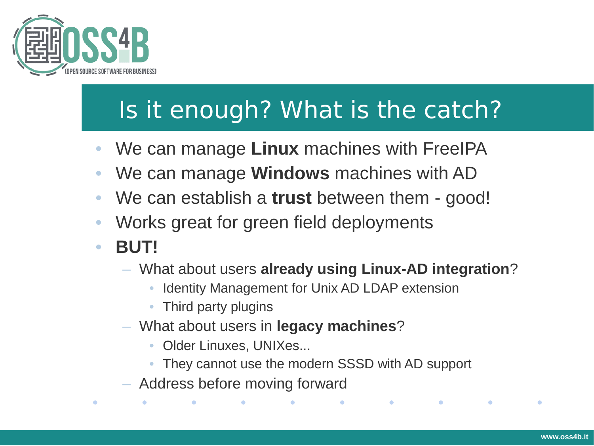

# Is it enough? What is the catch?

- We can manage **Linux** machines with FreeIPA
- We can manage **Windows** machines with AD
- We can establish a **trust** between them good!
- Works great for green field deployments
- **BUT!**

- What about users **already using Linux-AD integration**?
	- Identity Management for Unix AD LDAP extension
	- Third party plugins
- What about users in **legacy machines**?
	- Older Linuxes, UNIXes...
	- They cannot use the modern SSSD with AD support
- Address before moving forward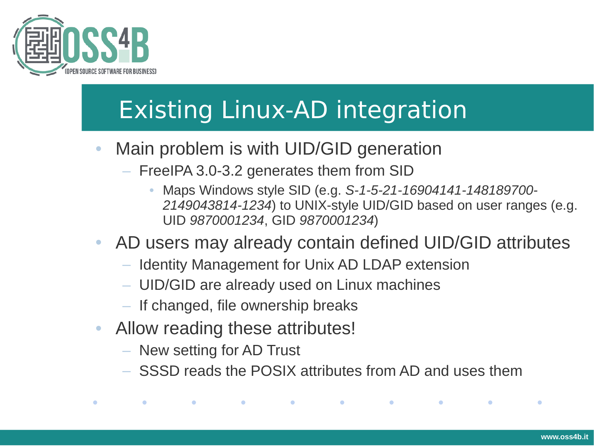

# Existing Linux-AD integration

- Main problem is with UID/GID generation
	- FreeIPA 3.0-3.2 generates them from SID
		- Maps Windows style SID (e.g. *S-1-5-21-16904141-148189700- 2149043814-1234*) to UNIX-style UID/GID based on user ranges (e.g. UID *9870001234*, GID *9870001234*)

 $\bullet$  and  $\bullet$  and  $\bullet$  and  $\bullet$  and  $\bullet$  and  $\bullet$  and  $\bullet$  and  $\bullet$  and  $\bullet$  and  $\bullet$  and  $\bullet$  and  $\bullet$ 

 $\bullet$ 

- AD users may already contain defined UID/GID attributes
	- Identity Management for Unix AD LDAP extension
	- UID/GID are already used on Linux machines
	- If changed, file ownership breaks
- Allow reading these attributes!
	- New setting for AD Trust

 $\bullet$ 

 $\bullet$ 

– SSSD reads the POSIX attributes from AD and uses them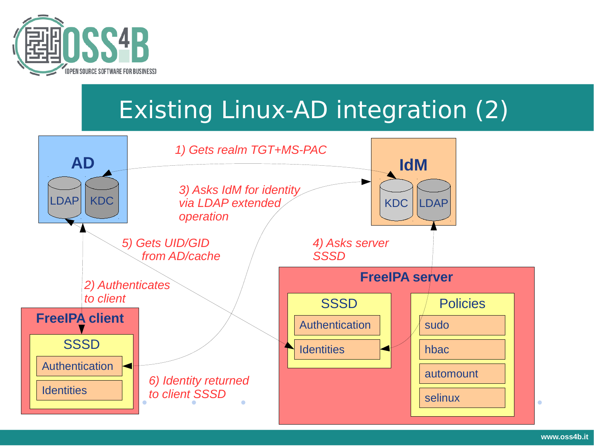

# Existing Linux-AD integration (2)

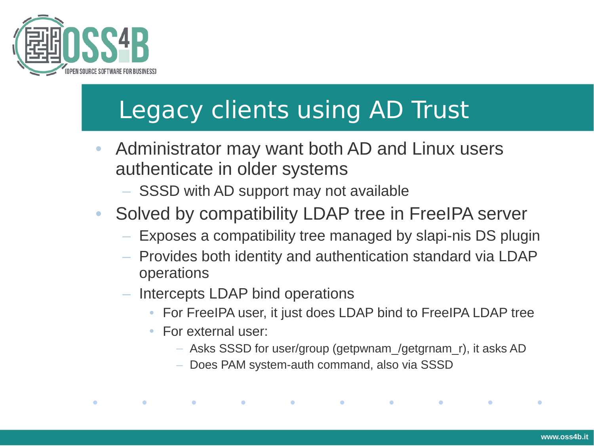

# Legacy clients using AD Trust

- Administrator may want both AD and Linux users authenticate in older systems
	- SSSD with AD support may not available
- Solved by compatibility LDAP tree in FreeIPA server
	- Exposes a compatibility tree managed by slapi-nis DS plugin
	- Provides both identity and authentication standard via LDAP operations
	- Intercepts LDAP bind operations

- For FreeIPA user, it just does LDAP bind to FreeIPA LDAP tree
- For external user:

 $\bullet$ 

 $\bullet$ 

– Asks SSSD for user/group (getpwnam\_/getgrnam\_r), it asks AD

 $\bullet$  . The set of  $\bullet$ 

**Contract Contract Contract** 

 $\bullet$ 

– Does PAM system-auth command, also via SSSD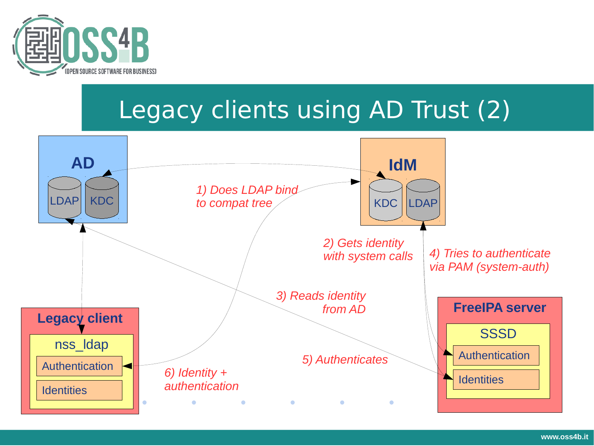

# Legacy clients using AD Trust (2)